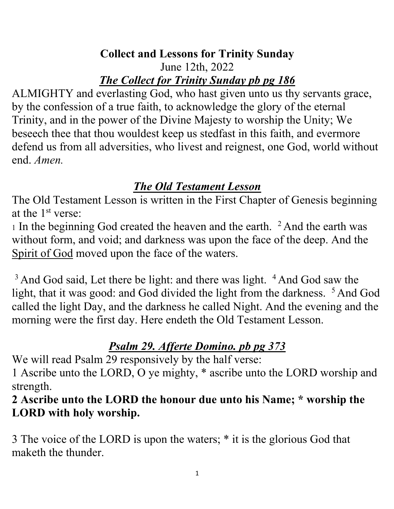#### **Collect and Lessons for Trinity Sunday** June 12th, 2022 *The Collect for Trinity Sunday pb pg 186*

ALMIGHTY and everlasting God, who hast given unto us thy servants grace, by the confession of a true faith, to acknowledge the glory of the eternal Trinity, and in the power of the Divine Majesty to worship the Unity; We beseech thee that thou wouldest keep us stedfast in this faith, and evermore defend us from all adversities, who livest and reignest, one God, world without end. *Amen.*

# *The Old Testament Lesson*

The Old Testament Lesson is written in the First Chapter of Genesis beginning at the 1st verse:

1 In the beginning God created the heaven and the earth. <sup>2</sup> And the earth was without form, and void; and darkness was upon the face of the deep. And the Spirit of God moved upon the face of the waters.

 $3$  And God said, Let there be light: and there was light.  $4$  And God saw the light, that it was good: and God divided the light from the darkness. <sup>5</sup> And God called the light Day, and the darkness he called Night. And the evening and the morning were the first day. Here endeth the Old Testament Lesson.

# *Psalm 29. Afferte Domino. pb pg 373*

We will read Psalm 29 responsively by the half verse:

1 Ascribe unto the LORD, O ye mighty, \* ascribe unto the LORD worship and strength.

**2 Ascribe unto the LORD the honour due unto his Name; \* worship the LORD with holy worship.** 

3 The voice of the LORD is upon the waters; \* it is the glorious God that maketh the thunder.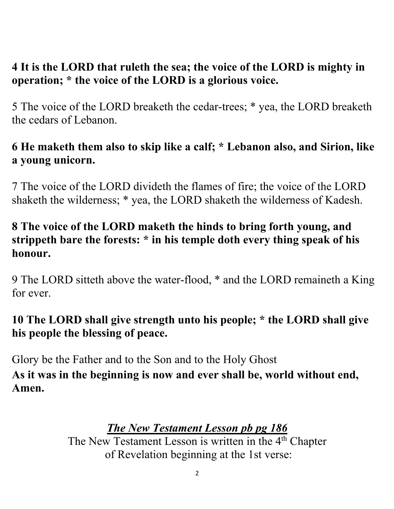### **4 It is the LORD that ruleth the sea; the voice of the LORD is mighty in operation; \* the voice of the LORD is a glorious voice.**

5 The voice of the LORD breaketh the cedar-trees; \* yea, the LORD breaketh the cedars of Lebanon.

## **6 He maketh them also to skip like a calf; \* Lebanon also, and Sirion, like a young unicorn.**

7 The voice of the LORD divideth the flames of fire; the voice of the LORD shaketh the wilderness; \* yea, the LORD shaketh the wilderness of Kadesh.

### **8 The voice of the LORD maketh the hinds to bring forth young, and strippeth bare the forests: \* in his temple doth every thing speak of his honour.**

9 The LORD sitteth above the water-flood, \* and the LORD remaineth a King for ever.

# **10 The LORD shall give strength unto his people; \* the LORD shall give his people the blessing of peace.**

Glory be the Father and to the Son and to the Holy Ghost

**As it was in the beginning is now and ever shall be, world without end, Amen.**

# *The New Testament Lesson pb pg 186*

The New Testament Lesson is written in the 4<sup>th</sup> Chapter of Revelation beginning at the 1st verse: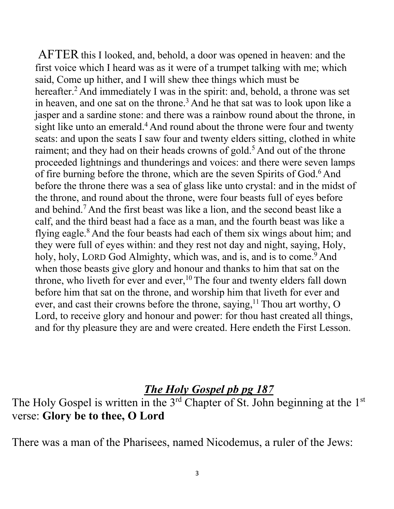AFTER this I looked, and, behold, a door was opened in heaven: and the first voice which I heard was as it were of a trumpet talking with me; which said, Come up hither, and I will shew thee things which must be hereafter.<sup>2</sup> And immediately I was in the spirit: and, behold, a throne was set in heaven, and one sat on the throne.<sup>3</sup> And he that sat was to look upon like a jasper and a sardine stone: and there was a rainbow round about the throne, in sight like unto an emerald.<sup>4</sup> And round about the throne were four and twenty seats: and upon the seats I saw four and twenty elders sitting, clothed in white raiment; and they had on their heads crowns of gold.<sup>5</sup> And out of the throne proceeded lightnings and thunderings and voices: and there were seven lamps of fire burning before the throne, which are the seven Spirits of God.<sup>6</sup> And before the throne there was a sea of glass like unto crystal: and in the midst of the throne, and round about the throne, were four beasts full of eyes before and behind.7 And the first beast was like a lion, and the second beast like a calf, and the third beast had a face as a man, and the fourth beast was like a flying eagle. $8$  And the four beasts had each of them six wings about him; and they were full of eyes within: and they rest not day and night, saying, Holy, holy, holy, LORD God Almighty, which was, and is, and is to come.<sup>9</sup> And when those beasts give glory and honour and thanks to him that sat on the throne, who liveth for ever and ever,<sup>10</sup> The four and twenty elders fall down before him that sat on the throne, and worship him that liveth for ever and ever, and cast their crowns before the throne, saying,  $11$  Thou art worthy, O Lord, to receive glory and honour and power: for thou hast created all things, and for thy pleasure they are and were created. Here endeth the First Lesson.

#### *The Holy Gospel pb pg 187*

The Holy Gospel is written in the  $3<sup>rd</sup>$  Chapter of St. John beginning at the  $1<sup>st</sup>$ verse: **Glory be to thee, O Lord**

There was a man of the Pharisees, named Nicodemus, a ruler of the Jews: